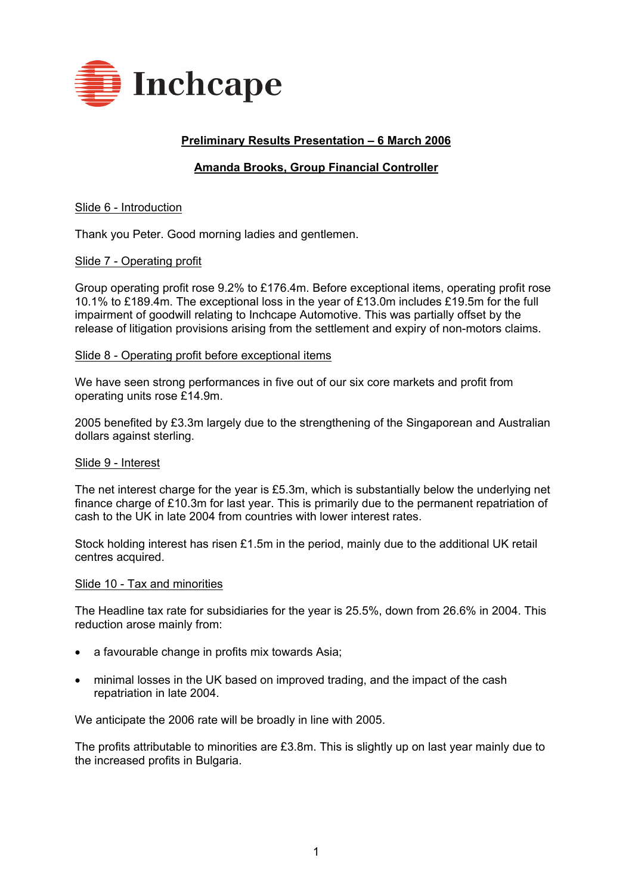

# **Preliminary Results Presentation - 6 March 2006**

## **Amanda Brooks, Group Financial Controller**

## Slide 6 - Introduction

Thank you Peter. Good morning ladies and gentlemen.

## Slide 7 - Operating profit

Group operating profit rose 9.2% to £176.4m. Before exceptional items, operating profit rose 10.1% to £189.4m. The exceptional loss in the year of £13.0m includes £19.5m for the full impairment of goodwill relating to Inchcape Automotive. This was partially offset by the release of litigation provisions arising from the settlement and expiry of non-motors claims.

#### Slide 8 - Operating profit before exceptional items

We have seen strong performances in five out of our six core markets and profit from operating units rose £14.9m.

2005 benefited by £3.3m largely due to the strengthening of the Singaporean and Australian dollars against sterling.

#### Slide 9 - Interest

The net interest charge for the year is £5.3m, which is substantially below the underlying net finance charge of £10.3m for last year. This is primarily due to the permanent repatriation of cash to the UK in late 2004 from countries with lower interest rates.

Stock holding interest has risen £1.5m in the period, mainly due to the additional UK retail centres acquired.

#### Slide 10 - Tax and minorities

The Headline tax rate for subsidiaries for the year is 25.5%, down from 26.6% in 2004. This reduction arose mainly from:

- a favourable change in profits mix towards Asia;
- minimal losses in the UK based on improved trading, and the impact of the cash repatriation in late 2004.

We anticipate the 2006 rate will be broadly in line with 2005.

The profits attributable to minorities are £3.8m. This is slightly up on last year mainly due to the increased profits in Bulgaria.